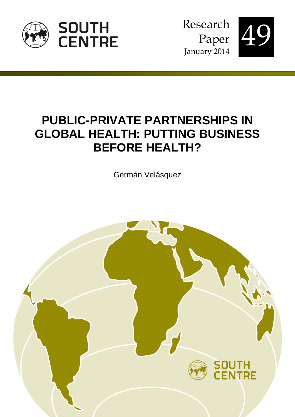

Research Paper January 2014



# **PUBLIC-PRIVATE PARTNERSHIPS IN GLOBAL HEALTH: PUTTING BUSINESS BEFORE HEALTH?**

Germán Velásquez

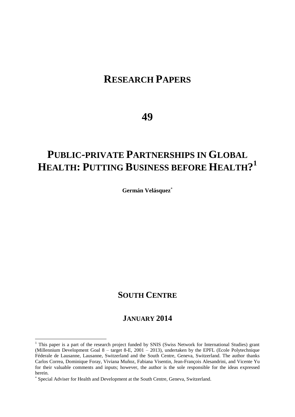# **RESEARCH PAPERS**

# **49**

# **PUBLIC-PRIVATE PARTNERSHIPS IN GLOBAL HEALTH: PUTTING BUSINESS BEFORE HEALTH? 1**

**Germán Velásquez**

# **SOUTH CENTRE**

# **JANUARY 2014**

 $\overline{\phantom{a}}$ 

<sup>&</sup>lt;sup>1</sup> This paper is a part of the research project funded by SNIS (Swiss Network for International Studies) grant (Millennium Development Goal 8 – target 8-E, 2001 – 2013), undertaken by the EPFL (Ecole Polytechnique Féderale de Lausanne, Lausanne, Switzerland and the South Centre, Geneva, Switzerland. The author thanks Carlos Correa, Dominique Foray, Viviana Muñoz, Fabiana Visentin, Jean-François Alesandrini, and Vicente Yu for their valuable comments and inputs; however, the author is the sole responsible for the ideas expressed herein.

Special Adviser for Health and Development at the South Centre, Geneva, Switzerland.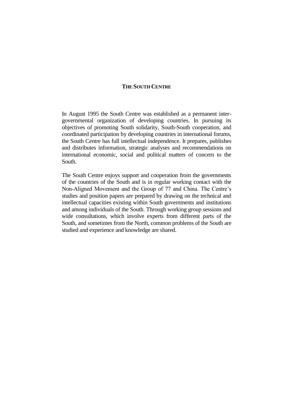#### **THE SOUTH CENTRE**

In August 1995 the South Centre was established as a permanent intergovernmental organization of developing countries. In pursuing its objectives of promoting South solidarity, South-South cooperation, and coordinated participation by developing countries in international forums, the South Centre has full intellectual independence. It prepares, publishes and distributes information, strategic analyses and recommendations on international economic, social and political matters of concern to the South.

The South Centre enjoys support and cooperation from the governments of the countries of the South and is in regular working contact with the Non-Aligned Movement and the Group of 77 and China. The Centre's studies and position papers are prepared by drawing on the technical and intellectual capacities existing within South governments and institutions and among individuals of the South. Through working group sessions and wide consultations, which involve experts from different parts of the South, and sometimes from the North, common problems of the South are studied and experience and knowledge are shared.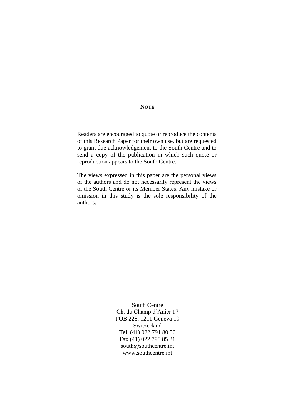#### **NOTE**

Readers are encouraged to quote or reproduce the contents of this Research Paper for their own use, but are requested to grant due acknowledgement to the South Centre and to send a copy of the publication in which such quote or reproduction appears to the South Centre.

The views expressed in this paper are the personal views of the authors and do not necessarily represent the views of the South Centre or its Member States. Any mistake or omission in this study is the sole responsibility of the authors.

> South Centre Ch. du Champ d'Anier 17 POB 228, 1211 Geneva 19 Switzerland Tel. (41) 022 791 80 50 Fax (41) 022 798 85 31 south@southcentre.int www.southcentre.int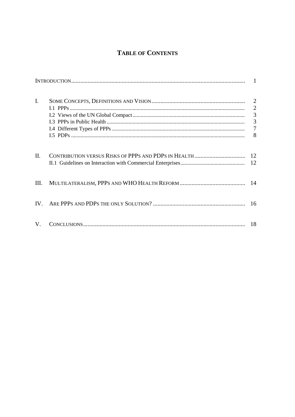# **TABLE OF CONTENTS**

| I.   | 8  |
|------|----|
| II.  |    |
| III. |    |
| IV.  |    |
| V.   | 18 |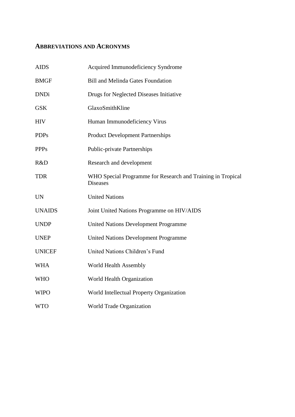# **ABBREVIATIONS AND ACRONYMS**

| <b>AIDS</b>   | Acquired Immunodeficiency Syndrome                                             |
|---------------|--------------------------------------------------------------------------------|
| <b>BMGF</b>   | <b>Bill and Melinda Gates Foundation</b>                                       |
| <b>DNDi</b>   | Drugs for Neglected Diseases Initiative                                        |
| <b>GSK</b>    | GlaxoSmithKline                                                                |
| <b>HIV</b>    | Human Immunodeficiency Virus                                                   |
| <b>PDPs</b>   | <b>Product Development Partnerships</b>                                        |
| <b>PPPs</b>   | <b>Public-private Partnerships</b>                                             |
| R&D           | Research and development                                                       |
| <b>TDR</b>    | WHO Special Programme for Research and Training in Tropical<br><b>Diseases</b> |
| <b>UN</b>     | <b>United Nations</b>                                                          |
| <b>UNAIDS</b> | Joint United Nations Programme on HIV/AIDS                                     |
| <b>UNDP</b>   | <b>United Nations Development Programme</b>                                    |
| <b>UNEP</b>   | <b>United Nations Development Programme</b>                                    |
| <b>UNICEF</b> | United Nations Children's Fund                                                 |
| <b>WHA</b>    | World Health Assembly                                                          |
| <b>WHO</b>    | World Health Organization                                                      |
| <b>WIPO</b>   | World Intellectual Property Organization                                       |
| <b>WTO</b>    | World Trade Organization                                                       |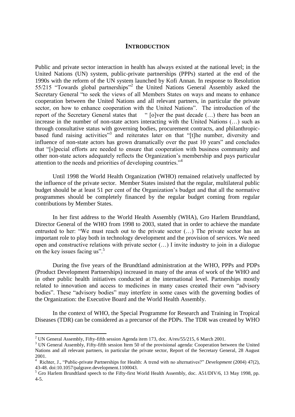#### **INTRODUCTION**

Public and private sector interaction in health has always existed at the national level; in the United Nations (UN) system, public-private partnerships (PPPs) started at the end of the 1990s with the reform of the UN system launched by Kofi Annan. In response to Resolution 55/215 "Towards global partnerships"<sup>2</sup> the United Nations General Assembly asked the Secretary General "to seek the views of all Members States on ways and means to enhance cooperation between the United Nations and all relevant partners, in particular the private sector, on how to enhance cooperation with the United Nations". The introduction of the report of the Secretary General states that " [o]ver the past decade (…) there has been an increase in the number of non-state actors interacting with the United Nations (…) such as through consultative status with governing bodies, procurement contracts, and philanthropicbased fund raising activities"<sup>3</sup> and reiterates later on that "[t]he number, diversity and influence of non-state actors has grown dramatically over the past 10 years" and concludes that "[s]pecial efforts are needed to ensure that cooperation with business community and other non-state actors adequately reflects the Organization's membership and pays particular attention to the needs and priorities of developing countries."<sup>4</sup>

Until 1998 the World Health Organization (WHO) remained relatively unaffected by the influence of the private sector. Member States insisted that the regular, multilateral public budget should be at least 51 per cent of the Organization's budget and that all the normative programmes should be completely financed by the regular budget coming from regular contributions by Member States.

In her first address to the World Health Assembly (WHA), Gro Harlem Brundtland, Director General of the WHO from 1998 to 2003, stated that in order to achieve the mandate entrusted to her: "We must reach out to the private sector (…) The private sector has an important role to play both in technology development and the provision of services. We need open and constructive relations with private sector (…) I invite industry to join in a dialogue on the key issues facing us".<sup>5</sup>

During the five years of the Brundtland administration at the WHO, PPPs and PDPs (Product Development Partnerships) increased in many of the areas of work of the WHO and in other public health initiatives conducted at the international level. Partnerships mostly related to innovation and access to medicines in many cases created their own "advisory bodies". These "advisory bodies" may interfere in some cases with the governing bodies of the Organization: the Executive Board and the World Health Assembly.

In the context of WHO, the Special Programme for Research and Training in Tropical Diseases (TDR) can be considered as a precursor of the PDPs. The TDR was created by WHO

 $\overline{a}$ 

<sup>&</sup>lt;sup>2</sup> UN General Assembly, Fifty-fifth session Agenda item 173, doc. A/res/55/215, 6 March 2001.

<sup>&</sup>lt;sup>3</sup> UN General Assembly, Fifty-fifth session Item 50 of the provisional agenda: Cooperation between the United Nations and all relevant partners, in particular the private sector, Report of the Secretary General, 28 August 2001.

<sup>4</sup> Richter, J., "Public-private Partnerships for Health: A trend with no alternatives?" *Development* (2004) 47(2), 43-48. doi:10.1057/palgrave.development.1100043.

<sup>5</sup> Gro Harlem Brundtland speech to the Fifty-first World Health Assembly, doc. A51/DIV/6, 13 May 1998, pp. 4-5.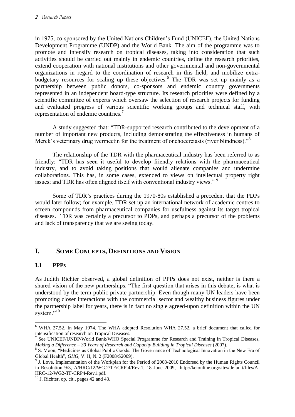in 1975, co-sponsored by the United Nations Children's Fund (UNICEF), the United Nations Development Programme (UNDP) and the World Bank. The aim of the programme was to promote and intensify research on tropical diseases, taking into consideration that such activities should be carried out mainly in endemic countries, define the research priorities, extend cooperation with national institutions and other governmental and non-governmental organizations in regard to the coordination of research in this field, and mobilize extrabudgetary resources for scaling up these objectives.<sup>6</sup> The TDR was set up mainly as a partnership between public donors, co-sponsors and endemic country governments represented in an independent board-type structure. Its research priorities were defined by a scientific committee of experts which oversaw the selection of research projects for funding and evaluated progress of various scientific working groups and technical staff, with representation of endemic countries.<sup>7</sup>

A study suggested that: "TDR-supported research contributed to the development of a number of important new products, including demonstrating the effectiveness in humans of Merck's veterinary drug ivermectin for the treatment of onchocerciasis (river blindness)."<sup>8</sup>

The relationship of the TDR with the pharmaceutical industry has been referred to as friendly: "TDR has seen it useful to develop friendly relations with the pharmaceutical industry, and to avoid taking positions that would alienate companies and undermine collaborations. This has, in some cases, extended to views on intellectual property right issues; and TDR has often aligned itself with conventional industry views."<sup>9</sup>

Some of TDR's practices during the 1970-80s established a precedent that the PDPs would later follow; for example, TDR set up an international network of academic centres to screen compounds from pharmaceutical companies for usefulness against its target tropical diseases. TDR was certainly a precursor to PDPs, and perhaps a precursor of the problems and lack of transparency that we are seeing today.

# **I. SOME CONCEPTS, DEFINITIONS AND VISION**

## **I.1 PPPs**

As Judith Richter observed, a global definition of PPPs does not exist, neither is there a shared vision of the new partnerships. "The first question that arises in this debate, is what is understood by the term public-private partnership. Even though many UN leaders have been promoting closer interactions with the commercial sector and wealthy business figures under the partnership label for years, there is in fact no single agreed-upon definition within the UN system $^{1,10}$ 

 $\overline{a}$ <sup>6</sup> WHA 27.52. In May 1974, The WHA adopted Resolution WHA 27.52, a brief document that called for intensification of research on Tropical Diseases.

 $<sup>7</sup>$  See UNICEF/UNDP/World Bank/WHO Special Programme for Research and Training in Tropical Diseases,</sup> *Making a Difference – 30 Years of Research and Capacity Building in Tropical Diseases* (2007).

<sup>&</sup>lt;sup>8</sup> S. Moon, "Medicines as Global Public Goods: The Governance of Technological Innovation in the New Era of Global Health", *GHG*, V. II, N. 2 (F2008/S2009).

 $9<sup>9</sup>$  J. Love, Implementation of the Workplan for the Period of 2008-2010 Endorsed by the Human Rights Council in Resolution 9/3, A/HRC/12/WG.2/TF/CRP.4/Rev.1, 18 June 2009, http://keionline.org/sites/default/files/A-HRC-12-WG2-TF-CRP4-Rev1.pdf.

 $10$  J. Richter, op. cit., pages 42 and 43.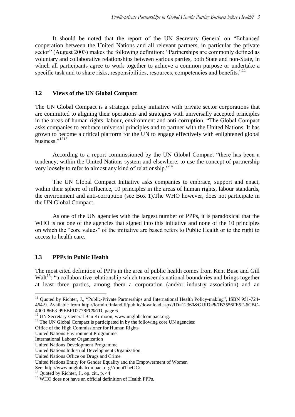It should be noted that the report of the UN Secretary General on "Enhanced cooperation between the United Nations and all relevant partners, in particular the private sector" (August 2003) makes the following definition: "Partnerships are commonly defined as voluntary and collaborative relationships between various parties, both State and non-State, in which all participants agree to work together to achieve a common purpose or undertake a specific task and to share risks, responsibilities, resources, competencies and benefits."<sup>11</sup>

#### **I.2 Views of the UN Global Compact**

The UN Global Compact is a strategic policy initiative with private sector corporations that are committed to aligning their operations and strategies with universally accepted principles in the areas of human rights, labour, environment and anti-corruption. "The Global Compact asks companies to embrace universal principles and to partner with the United Nations. It has grown to become a critical platform for the UN to engage effectively with enlightened global business."<sup>1213</sup>

According to a report commissioned by the UN Global Compact "there has been a tendency, within the United Nations system and elsewhere, to use the concept of partnership very loosely to refer to almost any kind of relationship."<sup>14</sup>

The UN Global Compact Initiative asks companies to embrace, support and enact, within their sphere of influence, 10 principles in the areas of human rights, labour standards, the environment and anti-corruption (see Box 1).The WHO however, does not participate in the UN Global Compact.

As one of the UN agencies with the largest number of PPPs, it is paradoxical that the WHO is not one of the agencies that signed into this initiative and none of the 10 principles on which the "core values" of the initiative are based refers to Public Health or to the right to access to health care.

## **I.3 PPPs in Public Health**

The most cited definition of PPPs in the area of public health comes from Kent Buse and Gill Walt<sup>15</sup>: "a collaborative relationship which transcends national boundaries and brings together at least three parties, among them a corporation (and/or industry association) and an

See: http://www.unglobalcompact.org/AboutTheGC/.

 $\overline{a}$ <sup>11</sup> Quoted by Richter, J., "Public-Private Partnerships and International Health Policy-making", ISBN 951-724-464-9. Available from http://formin.finland.fi/public/download.aspx?ID=12360&GUID=%7B3556FE5F-6CBC-4000-86F3-99EBFD2778FC%7D, page 6.

<sup>&</sup>lt;sup>12</sup> UN Secretary-General Ban Ki-moon, www.unglobalcompact.org.

<sup>&</sup>lt;sup>13</sup> The UN Global Compact is participated in by the following core UN agencies:

Office of the High Commissioner for Human Rights

United Nations Environment Programme

International Labour Organization

United Nations Development Programme

United Nations Industrial Development Organization

United Nations Office on Drugs and Crime

United Nations Entity for Gender Equality and the Empowerment of Women

 $14$  Quoted by Richter, J., op. cit., p. 44.

<sup>&</sup>lt;sup>15</sup> WHO does not have an official definition of Health PPPs.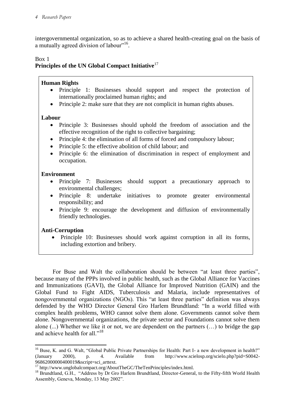intergovernmental organization, so as to achieve a shared health-creating goal on the basis of a mutually agreed division of labour"<sup>16</sup>.

## Box 1

# **Principles of the UN Global Compact Initiative**<sup>17</sup>

### **Human Rights**

- Principle 1: Businesses should support and respect the protection of internationally proclaimed human rights; and
- Principle 2: make sure that they are not complicit in human rights abuses.

#### **Labour**

- Principle 3: Businesses should uphold the freedom of association and the effective recognition of the right to collective bargaining;
- Principle 4: the elimination of all forms of forced and compulsory labour;
- Principle 5: the effective abolition of child labour; and
- Principle 6: the elimination of discrimination in respect of employment and occupation.

#### **Environment**

- Principle 7: Businesses should support a precautionary approach to environmental challenges;
- Principle 8: undertake initiatives to promote greater environmental responsibility; and
- Principle 9: encourage the development and diffusion of environmentally friendly technologies.

## **Anti-Corruption**

 $\overline{a}$ 

 Principle 10: Businesses should work against corruption in all its forms, including extortion and bribery.

For Buse and Walt the collaboration should be between "at least three parties", because many of the PPPs involved in public health, such as the Global Alliance for Vaccines and Immunizations (GAVI), the Global Alliance for Improved Nutrition (GAIN) and the Global Fund to Fight AIDS, Tuberculosis and Malaria, include representatives of nongovernmental organizations (NGOs). This "at least three parties" definition was always defended by the WHO Director General Gro Harlem Brundtland: "In a world filled with complex health problems, WHO cannot solve them alone. Governments cannot solve them alone. Nongovernmental organizations, the private sector and Foundations cannot solve them alone (...) Whether we like it or not, we are dependent on the partners (…) to bridge the gap and achieve health for all."<sup>18</sup>

<sup>&</sup>lt;sup>16</sup> Buse, K. and G. Walt, "Global Public Private Partnerships for Health: Part I- a new development in health?" (January 2000), p. 4. Available from http://www.scielosp.org/scielo.php?pid=S0042- 96862000000400019&script=sci\_arttext.

<sup>&</sup>lt;sup>17</sup> http://www.unglobalcompact.org/AboutTheGC/TheTenPrinciples/index.html.

<sup>&</sup>lt;sup>18</sup> Brundtland, G.H., "Address by Dr Gro Harlem Brundtland, Director-General, to the Fifty-fifth World Health Assembly, Geneva, Monday, 13 May 2002".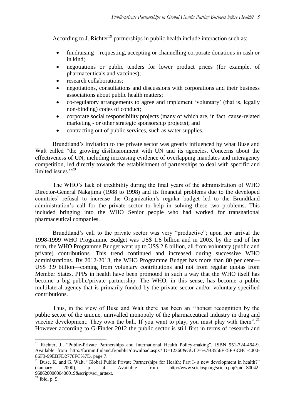According to J. Richter<sup>19</sup> partnerships in public health include interaction such as:

- fundraising requesting, accepting or channelling corporate donations in cash or in kind;
- negotiations or public tenders for lower product prices (for example, of pharmaceuticals and vaccines);
- research collaborations;
- negotiations, consultations and discussions with corporations and their business associations about public health matters;
- co-regulatory arrangements to agree and implement 'voluntary' (that is, legally non-binding) codes of conduct;
- corporate social responsibility projects (many of which are, in fact, cause-related marketing - or other strategic sponsorship projects); and
- contracting out of public services, such as water supplies.

Brundtland's invitation to the private sector was greatly influenced by what Buse and Walt called "the growing disillusionment with UN and its agencies. Concerns about the effectiveness of UN, including increasing evidence of overlapping mandates and interagency competition, led directly towards the establishment of partnerships to deal with specific and limited issues."20

The WHO's lack of credibility during the final years of the administration of WHO Director-General Nakajima (1988 to 1998) and its financial problems due to the developed countries' refusal to increase the Organization's regular budget led to the Brundtland administration's call for the private sector to help in solving these two problems. This included bringing into the WHO Senior people who had worked for transnational pharmaceutical companies.

Brundtland's call to the private sector was very "productive"; upon her arrival the 1998-1999 WHO Programme Budget was US\$ 1.8 billion and in 2003, by the end of her term, the WHO Programme Budget went up to US\$ 2.8 billion, all from voluntary (public and private) contributions. This trend continued and increased during successive WHO administrations. By 2012-2013, the WHO Programme Budget has more than 80 per cent— US\$ 3.9 billion—coming from voluntary contributions and not from regular quotas from Member States. PPPs in health have been promoted in such a way that the WHO itself has become a big public/private partnership. The WHO, in this sense, has become a public multilateral agency that is primarily funded by the private sector and/or voluntary specified contributions.

Thus, in the view of Buse and Walt there has been an ''honest recognition by the public sector of the unique, unrivalled monopoly of the pharmaceutical industry in drug and vaccine development: They own the ball. If you want to play, you must play with them".<sup>21</sup> However according to G-Finder 2012 the public sector is still first in terms of research and

 $\overline{\phantom{a}}$ 

<sup>&</sup>lt;sup>19</sup> Richter, J., "Public-Private Partnerships and International Health Policy-making", ISBN 951-724-464-9. Available from http://formin.finland.fi/public/download.aspx?ID=12360&GUID=%7B3556FE5F-6CBC-4000- 86F3-99EBFD2778FC%7D, page 7.

<sup>&</sup>lt;sup>20</sup> Buse, K. and G. Walt, "Global Public Private Partnerships for Health: Part I- a new development in health?"<br>(January 2000), p. 4. Available from http://www.scielosp.org/scielo.php?pid=S0042p. 4. Available from http://www.scielosp.org/scielo.php?pid=S0042-96862000000400019&script=sci\_arttext.

 $21$  Ibid, p. 5.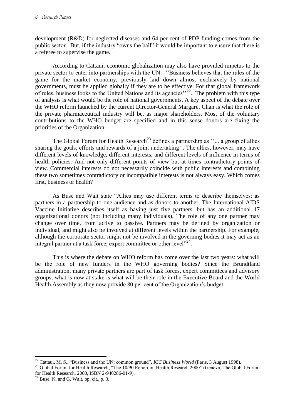development (R&D) for neglected diseases and 64 per cent of PDP funding comes from the public sector. But, if the industry "owns the ball" it would be important to ensure that there is a referee to supervise the game.

According to Cattaui, economic globalization may also have provided impetus to the private sector to enter into partnerships with the UN: ''Business believes that the rules of the game for the market economy, previously laid down almost exclusively by national governments, must be applied globally if they are to be effective. For that global framework of rules, business looks to the United Nations and its agencies'<sup>22</sup>. The problem with this type of analysis is what would be the role of national governments. A key aspect of the debate over the WHO reform launched by the current Director-General Margaret Chan is what the role of the private pharmaceutical industry will be, as major shareholders. Most of the voluntary contributions to the WHO budget are specified and in this sense donors are fixing the priorities of the Organization.

The Global Forum for Health Research<sup>23</sup> defines a partnership as  $\cdot$  ... a group of allies sharing the goals, efforts and rewards of a joint undertaking''. The allies, however, may have different levels of knowledge, different interests, and different levels of influence in terms of health policies. And not only different points of view but at times contradictory points of view. Commercial interests do not necessarily coincide with public interests and combining these two sometimes contradictory or incompatible interests is not always easy. Which comes first, business or health?

As Buse and Walt state "Allies may use different terms to describe themselves: as partners in a partnership to one audience and as donors to another. The International AIDS Vaccine Initiative describes itself as having just five partners, but has an additional 17 organizational donors (not including many individuals). The role of any one partner may change over time, from active to passive. Partners may be defined by organization or individual, and might also be involved at different levels within the partnership. For example, although the corporate sector might not be involved in the governing bodies it may act as an integral partner at a task force, expert committee or other level"<sup>24</sup>.

This is where the debate on WHO reform has come over the last two years: what will be the role of new funders in the WHO governing bodies? Since the Brundtland administration, many private partners are part of task forces, expert committees and advisory groups; what is now at stake is what will be their role in the Executive Board and the World Health Assembly as they now provide 80 per cent of the Organization's budget.

 $\overline{\phantom{a}}$ 

<sup>22</sup> Cattaui, M. S., "Business and the UN: common ground", *ICC Business World* (Paris, 3 August 1998).

<sup>&</sup>lt;sup>23</sup> Global Forum for Health Research, "The 10/90 Report on Health Research 2000" (Geneva, The Global Forum for Health Research, 2000, ISBN 2-940286-01-9).

 $24$  Buse, K. and G. Walt, op. cit., p. 3.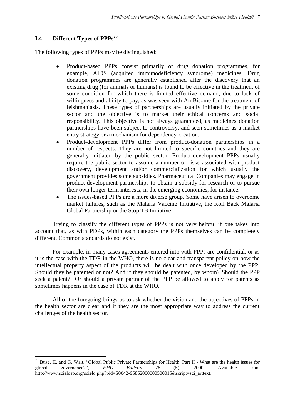# **I.4 Different Types of PPPs**<sup>25</sup>

The following types of PPPs may be distinguished:

- Product-based PPPs consist primarily of drug donation programmes, for example, AIDS (acquired immunodeficiency syndrome) medicines. Drug donation programmes are generally established after the discovery that an existing drug (for animals or humans) is found to be effective in the treatment of some condition for which there is limited effective demand, due to lack of willingness and ability to pay, as was seen with AmBisome for the treatment of leishmaniasis. These types of partnerships are usually initiated by the private sector and the objective is to market their ethical concerns and social responsibility. This objective is not always guaranteed, as medicines donation partnerships have been subject to controversy, and seen sometimes as a market entry strategy or a mechanism for dependency-creation.
- Product-development PPPs differ from product-donation partnerships in a number of respects. They are not limited to specific countries and they are generally initiated by the public sector. Product-development PPPs usually require the public sector to assume a number of risks associated with product discovery, development and/or commercialization for which usually the government provides some subsidies. Pharmaceutical Companies may engage in product-development partnerships to obtain a subsidy for research or to pursue their own longer-term interests, in the emerging economies, for instance.
- The issues-based PPPs are a more diverse group. Some have arisen to overcome market failures, such as the Malaria Vaccine Initiative, the Roll Back Malaria Global Partnership or the Stop TB Initiative.

Trying to classify the different types of PPPs is not very helpful if one takes into account that, as with PDPs, within each category the PPPs themselves can be completely different. Common standards do not exist.

For example, in many cases agreements entered into with PPPs are confidential, or as it is the case with the TDR in the WHO, there is no clear and transparent policy on how the intellectual property aspect of the products will be dealt with once developed by the PPP. Should they be patented or not? And if they should be patented, by whom? Should the PPP seek a patent? Or should a private partner of the PPP be allowed to apply for patents as sometimes happens in the case of TDR at the WHO.

All of the foregoing brings us to ask whether the vision and the objectives of PPPs in the health sector are clear and if they are the most appropriate way to address the current challenges of the health sector.

 $\overline{\phantom{a}}$ <sup>25</sup> Buse, K. and G. Walt, "Global Public Private Partnerships for Health: Part II - What are the health issues for global governance?", *WHO Bulletin* 78 (5), 2000. Available from http://www.scielosp.org/scielo.php?pid=S0042-96862000000500015&script=sci\_arttext.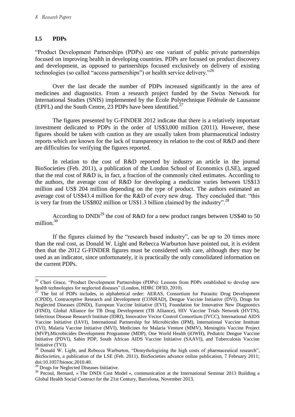## **I.5 PDPs**

"Product Development Partnerships (PDPs) are one variant of public private partnerships focused on improving health in developing countries. PDPs are focused on product discovery and development, as opposed to partnerships focused exclusively on delivery of existing technologies (so called "access partnerships") or health service delivery."<sup>26</sup>

Over the last decade the number of PDPs increased significantly in the area of medicines and diagnostics. From a research project funded by the Swiss Network for International Studies (SNIS) implemented by the École Polytechnique Fédérale de Lausanne (EPFL) and the South Centre, 23 PDPs have been identified.<sup>27</sup>

The figures presented by G-FINDER 2012 indicate that there is a relatively important investment dedicated to PDPs in the order of US\$3,000 million (2011). However, these figures should be taken with caution as they are usually taken from pharmaceutical industry reports which are known for the lack of transparency in relation to the cost of R&D and there are difficulties for verifying the figures reported.

In relation to the cost of R&D reported by industry an article in the journal BioSocieties (Feb. 2011), a publication of the London School of Economics (LSE), argued that the real cost of R&D is, in fact, a fraction of the commonly cited estimates. According to the authors, the average cost of R&D for developing a medicine varies between US\$13 million and US\$ 204 million depending on the type of product. The authors estimated an average cost of US\$43.4 million for the R&D of every new drug. They concluded that: "this is very far from the US\$802 million or US\$1.3 billion claimed by the industry".<sup>28</sup>

According to DNDi<sup>29</sup> the cost of R&D for a new product ranges between US\$40 to 50 million.<sup>30</sup>

If the figures claimed by the "research based industry", can be up to 20 times more than the real cost, as Donald W. Light and Rebecca Warburton have pointed out, it is evident then that the 2012 G-FINDER figures must be considered with care, although they may be used as an indicator, since unfortunately, it is practically the only consolidated information on the current PDPs.

 $\overline{a}$ <sup>26</sup> Cheri Grace, "Product Development Partnerships (PDPs): Lessons from PDPs established to develop new health technologies for neglected diseases" (London, HDRC DFID, 2010).

<sup>&</sup>lt;sup>27</sup> The list of PDPs includes, in alphabetical order: AERAS, Consortium for Parasitic Drug Development (CPDD), Contraceptive Research and Development (CONRAD), Dengue Vaccine Initiative (DVI), Drugs for Neglected Diseases (DNDi), European Vaccine Initiative (EVI), Foundation for Innovative New Diagnostics (FIND), Global Alliance for TB Drug Development (TB Alliance), HIV Vaccine Trials Network (HVTN), Infectious Disease Research Institute (IDRI), Innovative Vector Control Consortium (IVCC), International AIDS Vaccine Initiative (IAVI), International Partnership for Microbicides (IPM), International Vaccine Institute (IVI), Malaria Vaccine Initiative (MVI), Medicines for Malaria Venture (MMV), Meningitis Vaccine Project (MVP),Microbicides Development Programme (MDP), One World Health (iOWH), Pediatric Dengue Vaccine Initiative (PDVI), Sabin PDP, South African AIDS Vaccine Initiative (SAAVI), and Tuberculosis Vaccine Initiative (TVI).

<sup>&</sup>lt;sup>28</sup> Donald W. Light, and Rebecca Warburton, "Demythologizing the high costs of pharmaceutical research", *BioSocietie*s, a publication of the LSE (Feb. 2011). BioSocieties advance online publication, 7 February 2011; doi:10.1057/biosoc.2010.40.

<sup>&</sup>lt;sup>29</sup> Drugs for Neglected Diseases Initiative.

<sup>&</sup>lt;sup>30</sup> Pecoul, Bernard, « The DNDi Cost Model », communication at the International Seminar 2013 Building a Global Health Social Contract for the 21st Century, Barcelona, November 2013.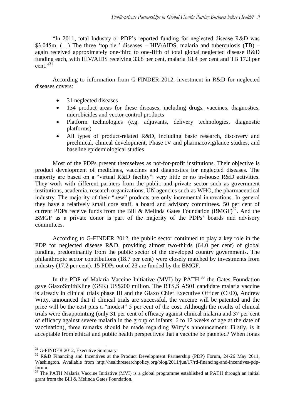"In 2011, total Industry or PDP's reported funding for neglected disease R&D was \$3,045m. (...) The three 'top tier' diseases – HIV/AIDS, malaria and tuberculosis (TB) – again received approximately one-third to one-fifth of total global neglected disease R&D funding each, with HIV/AIDS receiving 33.8 per cent, malaria 18.4 per cent and TB 17.3 per cent." $3<sup>1</sup>$ 

According to information from G-FINDER 2012, investment in R&D for neglected diseases covers:

- 31 neglected diseases
- 134 product areas for these diseases, including drugs, vaccines, diagnostics, microbicides and vector control products
- Platform technologies (e.g. adjuvants, delivery technologies, diagnostic platforms)
- All types of product-related R&D, including basic research, discovery and preclinical, clinical development, Phase IV and pharmacovigilance studies, and baseline epidemiological studies

Most of the PDPs present themselves as not-for-profit institutions. Their objective is product development of medicines, vaccines and diagnostics for neglected diseases. The majority are based on a "virtual R&D facility": very little or no in-house R&D activities. They work with different partners from the public and private sector such as government institutions, academia, research organizations, UN agencies such as WHO, the pharmaceutical industry. The majority of their "new" products are only incremental innovations. In general they have a relatively small core staff, a board and advisory committees. 50 per cent of current PDPs receive funds from the Bill & Melinda Gates Foundation  $(BMGF)^{32}$ . And the BMGF as a private donor is part of the majority of the PDPs' boards and advisory committees.

According to G-FINDER 2012, the public sector continued to play a key role in the PDP for neglected disease R&D, providing almost two-thirds (64.0 per cent) of global funding, predominantly from the public sector of the developed country governments. The philanthropic sector contributions (18.7 per cent) were closely matched by investments from industry (17.2 per cent). 15 PDPs out of 23 are funded by the BMGF.

In the PDP of Malaria Vaccine Initiative (MVI) by PATH,<sup>33</sup> the Gates Foundation gave GlaxoSmithKline (GSK) US\$200 million. The RTS,S AS01 candidate malaria vaccine is already in clinical trials phase III and the Glaxo Chief Executive Officer (CEO), Andrew Witty, announced that if clinical trials are successful, the vaccine will be patented and the price will be the cost plus a "modest" 5 per cent of the cost. Although the results of clinical trials were disappointing (only 31 per cent of efficacy against clinical malaria and 37 per cent of efficacy against severe malaria in the group of infants, 6 to 12 weeks of age at the date of vaccination), three remarks should be made regarding Witty's announcement: Firstly, is it acceptable from ethical and public health perspectives that a vaccine be patented? When Jonas

 $\overline{a}$ 

<sup>&</sup>lt;sup>31</sup> G-FINDER 2012, Executive Summary.

<sup>&</sup>lt;sup>32</sup> R&D Financing and Incentives at the Product Development Partnership (PDP) Forum, 24-26 May 2011, Washington. Available from http://healthresearchpolicy.org/blog/2011/jun/17/rd-financing-and-incentives-pdpforum.

<sup>&</sup>lt;sup>33</sup> The PATH Malaria Vaccine Initiative (MVI) is a global programme established at PATH through an initial grant from the Bill & Melinda Gates Foundation.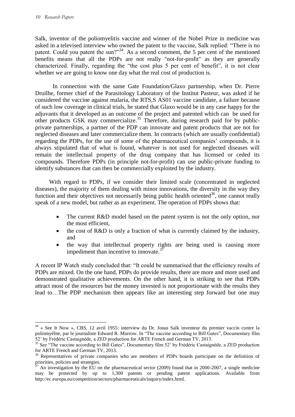Salk, inventor of the poliomyelitis vaccine and winner of the Nobel Prize in medicine was asked in a televised interview who owned the patent to the vaccine, Salk replied: "There is no patent. Could you patent the sun?"<sup>34</sup>. As a second comment, the 5 per cent of the mentioned benefits means that all the PDPs are not really "not-for-profit" as they are generally characterized. Finally, regarding the "the cost plus 5 per cent of benefit", it is not clear whether we are going to know one day what the real cost of production is.

In connection with the same Gate Foundation/Glaxo partnership, when Dr. Pierre Druilhe, former chief of the Parasitology Laboratory of the Institut Pasteur, was asked if he considered the vaccine against malaria, the RTS,S AS01 vaccine candidate, a failure because of such low coverage in clinical trials, he stated that Glaxo would be in any case happy for the adjuvants that it developed as an outcome of the project and patented which can be used for other products GSK may commercialize.<sup>35</sup> Therefore, during research paid for by publicprivate partnerships, a partner of the PDP can innovate and patent products that are not for neglected diseases and later commercialize them. In contracts (which are usually confidential) regarding the PDPs, for the use of some of the pharmaceutical companies' compounds, it is always stipulated that of what is found, whatever is not used for neglected diseases will remain the intellectual property of the drug company that has licensed or ceded its compounds. Therefore PDPs (in principle not-for-profit) can use public-private funding to identify substances that can then be commercially exploited by the industry.

With regard to PDPs, if we consider their limited scale (concentrated in neglected diseases), the majority of them dealing with minor innovations, the diversity in the way they function and their objectives not necessarily being public health oriented<sup>36</sup>, one cannot really speak of a new model, but rather as an experiment. The operation of PDPs shows that:

- The current R&D model based on the patent system is not the only option, nor the most efficient,
- $\bullet$  the cost of R&D is only a fraction of what is currently claimed by the industry, and
- the way that intellectual property rights are being used is causing more impediment than incentive to innovate. $37$

A recent IP Watch study concluded that: "It could be summarised that the efficiency results of PDPs are mixed. On the one hand, PDPs do provide results, there are more and more used and demonstrated qualitative achievements. On the other hand, it is striking to see that PDPs attract most of the resources but the money invested is not proportionate with the results they lead to…The PDP mechanism then appears like an interesting step forward but one may

 $\overline{a}$  $34 \times$  See It Now », CBS, 12 avril 1955: interview du Dr. Jonas Salk inventeur du premier vaccin contre la poliomyélite, par le journaliste Edward R. Murrow. In "The vaccine according to Bill Gates", Documentary film 52' by Frédéric Castaignède, a ZED production for ARTE French and German TV, 2013.

<sup>&</sup>lt;sup>35</sup> See "The vaccine according to Bill Gates", Documentary film 52' by Frédéric Castaignède, a ZED production for ARTE French and German TV, 2013.

<sup>&</sup>lt;sup>36</sup> Representatives of private companies who are members of PDPs boards participate on the definition of priorities, policies and strategies.

An investigation by the EU on the pharmaceutical sector (2009) found that in 2000-2007, a single medicine may be protected by up to 1,300 patents or pending patent applications. Available from http://ec.europa.eu/competition/sectors/pharmaceuticals/inquiry/index.html.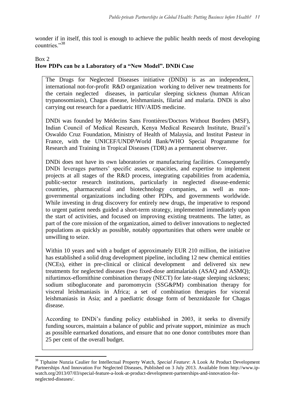wonder if in itself, this tool is enough to achieve the public health needs of most developing countries."<sup>38</sup>

#### Box 2

 $\overline{\phantom{a}}$ 

# **How PDPs can be a Laboratory of a "New Model". DNDi Case**

The Drugs for Neglected Diseases initiative (DNDi) is as an independent, international not-for-profit R&D organization working to deliver new treatments for the certain neglected diseases, in particular sleeping sickness (human African trypanosomiasis), Chagas disease, leishmaniasis, filarial and malaria. DNDi is also carrying out research for a paediatric HIV/AIDS medicine.

DNDi was founded by Médecins Sans Frontières/Doctors Without Borders (MSF), Indian Council of Medical Research, Kenya Medical Research Institute, Brazil's Oswaldo Cruz Foundation, Ministry of Health of Malaysia, and Institut Pasteur in France, with the UNICEF/UNDP/World Bank/WHO Special Programme for Research and Training in Tropical Diseases (TDR) as a permanent observer.

DNDi does not have its own laboratories or manufacturing facilities. Consequently DNDi leverages partners' specific assets, capacities, and expertise to implement projects at all stages of the R&D process, integrating capabilities from academia, public-sector research institutions, particularly in neglected disease-endemic countries, pharmaceutical and biotechnology companies, as well as nongovernmental organizations including other PDPs, and governments worldwide. While investing in drug discovery for entirely new drugs, the imperative to respond to urgent patient needs guided a short-term strategy, implemented immediately upon the start of activities, and focused on improving existing treatments. The latter, as part of the core mission of the organization, aimed to deliver innovations to neglected populations as quickly as possible, notably opportunities that others were unable or unwilling to seize.

Within 10 years and with a budget of approximately EUR 210 million, the initiative has established a solid drug development pipeline, including 12 new chemical entities (NCEs), either in pre-clinical or clinical development and delivered six new treatments for neglected diseases (two fixed-dose antimalarials (ASAQ and ASMQ); nifurtimox-eflornithine combination therapy (NECT) for late-stage sleeping sickness; sodium stibogluconate and paromomycin (SSG&PM) combination therapy for visceral leishmaniasis in Africa; a set of combination therapies for visceral leishmaniasis in Asia; and a paediatric dosage form of benznidazole for Chagas disease.

According to DNDi's funding policy established in 2003, it seeks to diversify funding sources, maintain a balance of public and private support, minimize as much as possible earmarked donations, and ensure that no one donor contributes more than 25 per cent of the overall budget.

<sup>38</sup> Tiphaine Nunzia Caulier for Intellectual Property Watch, *Special Feature*: A Look At Product Development Partnerships And Innovation For Neglected Diseases, Published on 3 July 2013. Available from http://www.ipwatch.org/2013/07/03/special-feature-a-look-at-product-development-partnerships-and-innovation-forneglected-diseases/.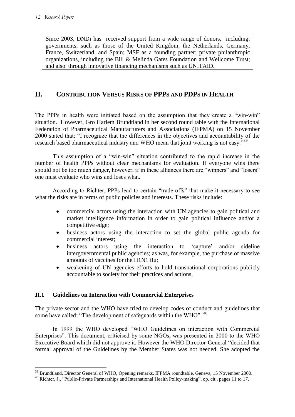Since 2003, DNDi has received support from a wide range of donors, including: governments, such as those of the United Kingdom, the Netherlands, Germany, France, Switzerland, and Spain; MSF as a founding partner; private philanthropic organizations, including the Bill & Melinda Gates Foundation and Wellcome Trust; and also through innovative financing mechanisms such as UNITAID.

# **II. CONTRIBUTION VERSUS RISKS OF PPPS AND PDPS IN HEALTH**

The PPPs in health were initiated based on the assumption that they create a "win-win" situation. However, Gro Harlem Brundtland in her second round table with the International Federation of Pharmaceutical Manufacturers and Associations (IFPMA) on 15 November 2000 stated that: "I recognize that the differences in the objectives and accountability of the research based pharmaceutical industry and WHO mean that joint working is not easy."<sup>39</sup>

This assumption of a "win-win" situation contributed to the rapid increase in the number of health PPPs without clear mechanisms for evaluation. If everyone wins there should not be too much danger, however, if in these alliances there are "winners" and "losers" one must evaluate who wins and loses what.

According to Richter, PPPs lead to certain "trade-offs" that make it necessary to see what the risks are in terms of public policies and interests. These risks include:

- commercial actors using the interaction with UN agencies to gain political and market intelligence information in order to gain political influence and/or a competitive edge;
- business actors using the interaction to set the global public agenda for commercial interest;
- business actors using the interaction to 'capture' and/or sideline intergovernmental public agencies; as was, for example, the purchase of massive amounts of vaccines for the H1N1 flu;
- weakening of UN agencies efforts to hold transnational corporations publicly accountable to society for their practices and actions.

## **II.1 Guidelines on Interaction with Commercial Enterprises**

The private sector and the WHO have tried to develop codes of conduct and guidelines that some have called: "The development of safeguards within the WHO". <sup>40</sup>

In 1999 the WHO developed "WHO Guidelines on interaction with Commercial Enterprises". This document, criticised by some NGOs, was presented in 2000 to the WHO Executive Board which did not approve it. However the WHO Director-General "decided that formal approval of the Guidelines by the Member States was not needed. She adopted the

 $\overline{\phantom{a}}$ <sup>39</sup> Brundtland, Director General of WHO, Opening remarks, IFPMA roundtable, Geneva, 15 November 2000.

<sup>&</sup>lt;sup>40</sup> Richter, J., "Public-Private Partnerships and International Health Policy-making", op. cit., pages 11 to 17.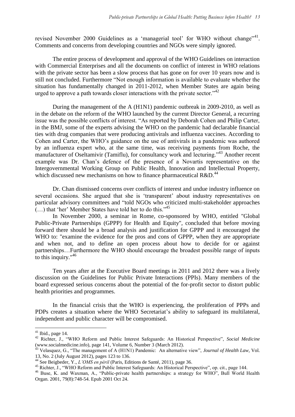revised November 2000 Guidelines as a 'managerial tool' for WHO without change"<sup>41</sup>. Comments and concerns from developing countries and NGOs were simply ignored.

The entire process of development and approval of the WHO Guidelines on interaction with Commercial Enterprises and all the documents on conflict of interest in WHO relations with the private sector has been a slow process that has gone on for over 10 years now and is still not concluded. Furthermore "Not enough information is available to evaluate whether the situation has fundamentally changed in 2011-2012, when Member States are again being urged to approve a path towards closer interactions with the private sector." $42$ 

During the management of the A (H1N1) pandemic outbreak in 2009-2010, as well as in the debate on the reform of the WHO launched by the current Director General, a recurring issue was the possible conflicts of interest. "As reported by Deborah Cohen and Philip Carter, in the BMJ, some of the experts advising the WHO on the pandemic had declarable financial ties with drug companies that were producing antivirals and influenza vaccines. According to Cohen and Carter, the WHO's guidance on the use of antivirals in a pandemic was authored by an influenza expert who, at the same time, was receiving payments from Roche, the manufacturer of Oseltamivir (Tamiflu), for consultancy work and lecturing.<sup>343</sup> Another recent example was Dr. Chan's defence of the presence of a Novartis representative on the Intergovernmental Working Group on Public Health, Innovation and Intellectual Property, which discussed new mechanisms on how to finance pharmaceutical R&D.<sup>44</sup>

Dr. Chan dismissed concerns over conflicts of interest and undue industry influence on several occasions. She argued that she is 'transparent' about industry representatives on particular advisory committees and "told NGOs who criticized multi-stakeholder approaches (…) that 'her' Member States have told her to do this."<sup>45</sup>

In November 2000, a seminar in Rome, co-sponsored by WHO, entitled "Global Public-Private Partnerships (GPPP) for Health and Equity", concluded that before moving forward there should be a broad analysis and justification for GPPP and it encouraged the WHO to: "examine the evidence for the pros and cons of GPPP, when they are appropriate and when not, and to define an open process about how to decide for or against partnerships…Furthermore the WHO should encourage the broadest possible range of inputs to this inquiry." $46$ 

Ten years after at the Executive Board meetings in 2011 and 2012 there was a lively discussion on the Guidelines for Public Private Interactions (PPIs). Many members of the board expressed serious concerns about the potential of the for-profit sector to distort public health priorities and programmes.

In the financial crisis that the WHO is experiencing, the proliferation of PPPs and PDPs creates a situation where the WHO Secretariat's ability to safeguard its multilateral, independent and public character will be compromised.

 $\overline{a}$ 

 $41$  Ibid., page 14.

<sup>42</sup> Richter, J., "WHO Reform and Public Interest Safeguards: An Historical Perspective", *Social Medicine* (www.socialmedicine.info), page 141, Volume 6, Number 3 (March 2012).

<sup>43</sup> Velasquez, G., "The management of A (H1N1) Pandemic: An alternative view", *Journal of Health Law*, Vol. 13, No. 2 (July August 2012), pages 123 to 136.

<sup>44</sup> See Beigbeder, Y., *L'OMS en péril* (Paris, Editions de Santé, 2011), page 36.

<sup>45</sup> Richter, J., "WHO Reform and Public Interest Safeguards: An Historical Perspective", op. cit., page 144.

<sup>46</sup> Buse, K. and Waxman, A., "Public-private health partnerships: a strategy for WHO", Bull World Health Organ. 2001, 79(8):748-54. Epub 2001 Oct 24.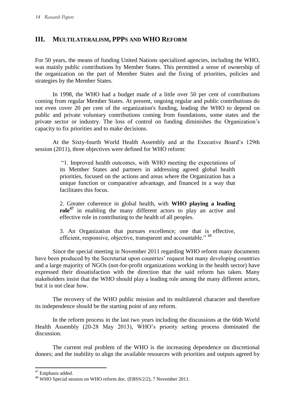# **III. MULTILATERALISM, PPPS AND WHO REFORM**

For 50 years, the means of funding United Nations specialized agencies, including the WHO, was mainly public contributions by Member States. This permitted a sense of ownership of the organization on the part of Member States and the fixing of priorities, policies and strategies by the Member States.

In 1998, the WHO had a budget made of a little over 50 per cent of contributions coming from regular Member States. At present, ongoing regular and public contributions do not even cover 20 per cent of the organization's funding, leading the WHO to depend on public and private voluntary contributions coming from foundations, some states and the private sector or industry. The loss of control on funding diminishes the Organization's capacity to fix priorities and to make decisions.

At the Sixty-fourth World Health Assembly and at the Executive Board's 129th session (2011), three objectives were defined for WHO reform:

> "1. Improved health outcomes, with WHO meeting the expectations of its Member States and partners in addressing agreed global health priorities, focused on the actions and areas where the Organization has a unique function or comparative advantage, and financed in a way that facilitates this focus.

> 2. Greater coherence in global health, with **WHO playing a leading role<sup>47</sup>** in enabling the many different actors to play an active and effective role in contributing to the health of all peoples.

> 3. An Organization that pursues excellence; one that is effective, efficient, responsive, objective, transparent and accountable." <sup>48</sup>

Since the special meeting in November 2011 regarding WHO reform many documents have been produced by the Secretariat upon countries' request but many developing countries and a large majority of NGOs (not-for-profit organizations working in the health sector) have expressed their dissatisfaction with the direction that the said reform has taken. Many stakeholders insist that the WHO should play a leading role among the many different actors, but it is not clear how.

The recovery of the WHO public mission and its multilateral character and therefore its independence should be the starting point of any reform.

In the reform process in the last two years including the discussions at the 66th World Health Assembly (20-28 May 2013), WHO's priority setting process dominated the discussion.

The current real problem of the WHO is the increasing dependence on discretional donors; and the inability to align the available resources with priorities and outputs agreed by

 $\overline{\phantom{a}}$ 

<sup>&</sup>lt;sup>47</sup> Emphasis added.

<sup>&</sup>lt;sup>48</sup> WHO Special session on WHO reform doc. (EBSS/2/2), 7 November 2011.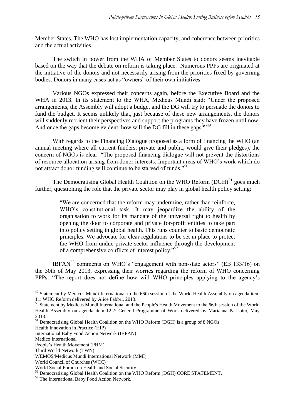Member States. The WHO has lost implementation capacity, and coherence between priorities and the actual activities.

The switch in power from the WHA of Member States to donors seems inevitable based on the way that the debate on reform is taking place. Numerous PPPs are originated at the initiative of the donors and not necessarily arising from the priorities fixed by governing bodies. Donors in many cases act as "owners" of their own initiatives.

Various NGOs expressed their concerns again, before the Executive Board and the WHA in 2013. In its statement to the WHA, Medicus Mundi said: "Under the proposed arrangements, the Assembly will adopt a budget and the DG will try to persuade the donors to fund the budget. It seems unlikely that, just because of these new arrangements, the donors will suddenly reorient their perspectives and support the programs they have frozen until now. And once the gaps become evident, how will the DG fill in these gaps?"<sup>49</sup>

With regards to the Financing Dialogue proposed as a form of financing the WHO (an annual meeting where all current funders, private and public, would give their pledges), the concern of NGOs is clear: "The proposed financing dialogue will not prevent the distortions of resource allocation arising from donor interests. Important areas of WHO's work which do not attract donor funding will continue to be starved of funds."<sup>50</sup>

The Democratising Global Health Coalition on the WHO Reform  $(DGH)$ <sup>51</sup> goes much further, questioning the role that the private sector may play in global health policy setting:

> "We are concerned that the reform may undermine, rather than reinforce, WHO's constitutional task. It may jeopardize the ability of the organisation to work for its mandate of the universal right to health by opening the door to corporate and private for-profit entities to take part into policy setting in global health. This runs counter to basic democratic principles. We advocate for clear regulations to be set in place to protect the WHO from undue private sector influence through the development of a comprehensive conflicts of interest policy."<sup>52</sup>

IBFAN $^{53}$  comments on WHO's "engagement with non-state actors" (EB 133/16) on the 30th of May 2013, expressing their worries regarding the reform of WHO concerning PPPs: "The report does not define how will WHO principles applying to the agency's

Health Innovation in Practice (HIP)

 $\overline{a}$ 

<sup>&</sup>lt;sup>49</sup> Statement by Medicus Mundi International to the 66th session of the World Health Assembly on agenda item 11: WHO Reform delivered by Alice Fabbri, 2013.

<sup>&</sup>lt;sup>50</sup> Statement by Medicus Mundi International and the People's Health Movement to the 66th session of the World Health Assembly on agenda item 12.2: General Programme of Work delivered by Marianna Parisotto, May 2013.

<sup>51</sup> Democratising Global Health Coalition on the WHO Reform (DGH) is a group of 8 NGOs:

International Baby Food Action Network (IBFAN)

Medico International

People's Health Movement (PHM)

Third World Network (TWN)

WEMOS/Medicus Mundi International Network (MMI)

World Council of Churches (WCC)

World Social Forum on Health and Social Security

<sup>&</sup>lt;sup>52</sup> Democratising Global Health Coalition on the WHO Reform (DGH) CORE STATEMENT.

<sup>&</sup>lt;sup>53</sup> The International Baby Food Action Network.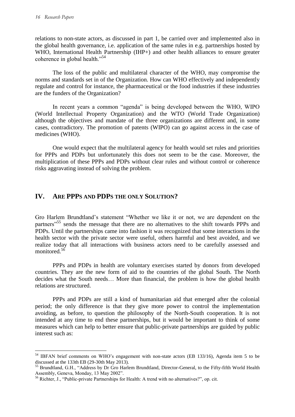$\overline{a}$ 

relations to non-state actors, as discussed in part 1, be carried over and implemented also in the global health governance, i.e. application of the same rules in e.g. partnerships hosted by WHO, International Health Partnership (IHP+) and other health alliances to ensure greater coherence in global health."<sup>54</sup>

The loss of the public and multilateral character of the WHO, may compromise the norms and standards set in of the Organization. How can WHO effectively and independently regulate and control for instance, the pharmaceutical or the food industries if these industries are the funders of the Organization?

In recent years a common "agenda" is being developed between the WHO, WIPO (World Intellectual Property Organization) and the WTO (World Trade Organization) although the objectives and mandate of the three organizations are different and, in some cases, contradictory. The promotion of patents (WIPO) can go against access in the case of medicines (WHO).

One would expect that the multilateral agency for health would set rules and priorities for PPPs and PDPs but unfortunately this does not seem to be the case. Moreover, the multiplication of these PPPs and PDPs without clear rules and without control or coherence risks aggravating instead of solving the problem.

# **IV. ARE PPPS AND PDPS THE ONLY SOLUTION?**

Gro Harlem Brundtland's statement "Whether we like it or not, we are dependent on the partners<sup>55</sup> sends the message that there are no alternatives to the shift towards PPPs and PDPs. Until the partnerships came into fashion it was recognized that some interactions in the health sector with the private sector were useful, others harmful and best avoided, and we realize today that all interactions with business actors need to be carefully assessed and monitored.<sup>56</sup>

PPPs and PDPs in health are voluntary exercises started by donors from developed countries. They are the new form of aid to the countries of the global South. The North decides what the South needs… More than financial, the problem is how the global health relations are structured.

PPPs and PDPs are still a kind of humanitarian aid that emerged after the colonial period; the only difference is that they give more power to control the implementation avoiding, as before, to question the philosophy of the North-South cooperation. It is not intended at any time to end these partnerships, but it would be important to think of some measures which can help to better ensure that public-private partnerships are guided by public interest such as:

<sup>&</sup>lt;sup>54</sup> IBFAN brief comments on WHO's engagement with non-state actors (EB 133/16), Agenda item 5 to be discussed at the 133th EB (29-30th May 2013).

<sup>&</sup>lt;sup>55</sup> Brundtland, G.H., "Address by Dr Gro Harlem Brundtland, Director-General, to the Fifty-fifth World Health Assembly, Geneva, Monday, 13 May 2002".

<sup>56</sup> Richter, J., "Public-private Partnerships for Health: A trend with no alternatives?", op. cit.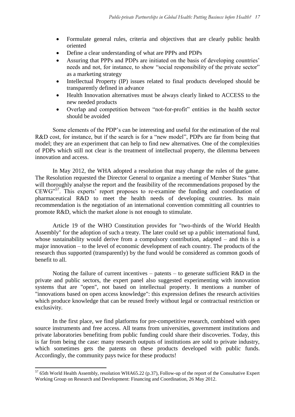- Formulate general rules, criteria and objectives that are clearly public health oriented
- Define a clear understanding of what are PPPs and PDPs
- Assuring that PPPs and PDPs are initiated on the basis of developing countries' needs and not, for instance, to show "social responsibility of the private sector" as a marketing strategy
- Intellectual Property (IP) issues related to final products developed should be transparently defined in advance
- Health Innovation alternatives must be always clearly linked to ACCESS to the new needed products
- Overlap and competition between "not-for-profit" entities in the health sector should be avoided

Some elements of the PDP's can be interesting and useful for the estimation of the real R&D cost, for instance, but if the search is for a "new model", PDPs are far from being that model; they are an experiment that can help to find new alternatives. One of the complexities of PDPs which still not clear is the treatment of intellectual property, the dilemma between innovation and access.

In May 2012, the WHA adopted a resolution that may change the rules of the game. The Resolution requested the Director General to organize a meeting of Member States "that will thoroughly analyse the report and the feasibility of the recommendations proposed by the CEWG"<sup>57</sup>. This experts' report proposes to re-examine the funding and coordination of pharmaceutical R&D to meet the health needs of developing countries. Its main recommendation is the negotiation of an international convention committing all countries to promote R&D, which the market alone is not enough to stimulate.

Article 19 of the WHO Constitution provides for "two-thirds of the World Health Assembly" for the adoption of such a treaty. The later could set up a public international fund, whose sustainability would derive from a compulsory contribution, adapted – and this is a major innovation – to the level of economic development of each country. The products of the research thus supported (transparently) by the fund would be considered as common goods of benefit to all.

Noting the failure of current incentives – patents – to generate sufficient  $R&D$  in the private and public sectors, the expert panel also suggested experimenting with innovation systems that are "open", not based on intellectual property. It mentions a number of "innovations based on open access knowledge": this expression defines the research activities which produce knowledge that can be reused freely without legal or contractual restriction or exclusivity.

In the first place, we find platforms for pre-competitive research, combined with open source instruments and free access. All teams from universities, government institutions and private laboratories benefiting from public funding could share their discoveries. Today, this is far from being the case: many research outputs of institutions are sold to private industry, which sometimes gets the patents on these products developed with public funds. Accordingly, the community pays twice for these products!

 $\overline{\phantom{a}}$ 

 $57$  65th World Health Assembly, resolution WHA65.22 (p.37), Follow-up of the report of the Consultative Expert Working Group on Research and Development: Financing and Coordination, 26 May 2012.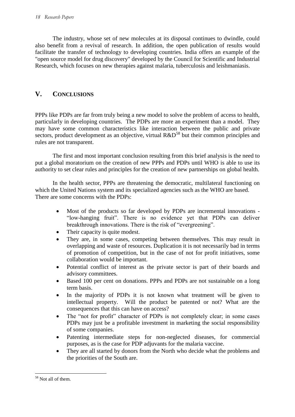The industry, whose set of new molecules at its disposal continues to dwindle, could also benefit from a revival of research. In addition, the open publication of results would facilitate the transfer of technology to developing countries. India offers an example of the "open source model for drug discovery" developed by the Council for Scientific and Industrial Research, which focuses on new therapies against malaria, tuberculosis and leishmaniasis.

# **V. CONCLUSIONS**

PPPs like PDPs are far from truly being a new model to solve the problem of access to health, particularly in developing countries. The PDPs are more an experiment than a model. They may have some common characteristics like interaction between the public and private sectors, product development as an objective, virtual R&D<sup>58</sup> but their common principles and rules are not transparent.

The first and most important conclusion resulting from this brief analysis is the need to put a global moratorium on the creation of new PPPs and PDPs until WHO is able to use its authority to set clear rules and principles for the creation of new partnerships on global health.

In the health sector, PPPs are threatening the democratic, multilateral functioning on which the United Nations system and its specialized agencies such as the WHO are based. There are some concerns with the PDPs:

- Most of the products so far developed by PDPs are incremental innovations "low-hanging fruit". There is no evidence yet that PDPs can deliver breakthrough innovations. There is the risk of "evergreening".
- Their capacity is quite modest.
- They are, in some cases, competing between themselves. This may result in overlapping and waste of resources. Duplication it is not necessarily bad in terms of promotion of competition, but in the case of not for profit initiatives, some collaboration would be important.
- Potential conflict of interest as the private sector is part of their boards and advisory committees.
- Based 100 per cent on donations. PPPs and PDPs are not sustainable on a long term basis.
- In the majority of PDPs it is not known what treatment will be given to intellectual property. Will the product be patented or not? What are the consequences that this can have on access?
- The "not for profit" character of PDPs is not completely clear; in some cases PDPs may just be a profitable investment in marketing the social responsibility of some companies.
- Patenting intermediate steps for non-neglected diseases, for commercial purposes, as is the case for PDP adjuvants for the malaria vaccine.
- They are all started by donors from the North who decide what the problems and the priorities of the South are.

 $\overline{\phantom{a}}$ <sup>58</sup> Not all of them.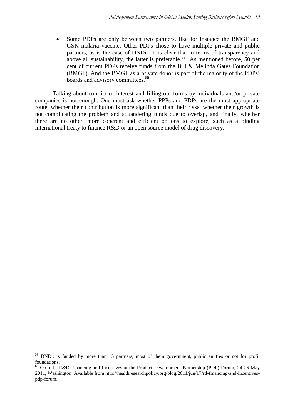Some PDPs are only between two partners, like for instance the BMGF and GSK malaria vaccine. Other PDPs chose to have multiple private and public partners, as is the case of DNDi. It is clear that in terms of transparency and above all sustainability, the latter is preferable.<sup>59</sup> As mentioned before, 50 per cent of current PDPs receive funds from the Bill & Melinda Gates Foundation (BMGF). And the BMGF as a private donor is part of the majority of the PDPs' boards and advisory committees.<sup>60</sup>

Talking about conflict of interest and filling out forms by individuals and/or private companies is not enough. One must ask whether PPPs and PDPs are the most appropriate route, whether their contribution is more significant than their risks, whether their growth is not complicating the problem and squandering funds due to overlap, and finally, whether there are no other, more coherent and efficient options to explore, such as a binding international treaty to finance R&D or an open source model of drug discovery.

 $\overline{a}$ 

<sup>&</sup>lt;sup>59</sup> DNDi, is funded by more than 15 partners, most of them government, public entities or not for profit foundations.

 $60$  Op. cit. R&D Financing and Incentives at the Product Development Partnership (PDP) Forum, 24-26 May 2011, Washington. Available from http://healthresearchpolicy.org/blog/2011/jun/17/rd-financing-and-incentivespdp-forum.